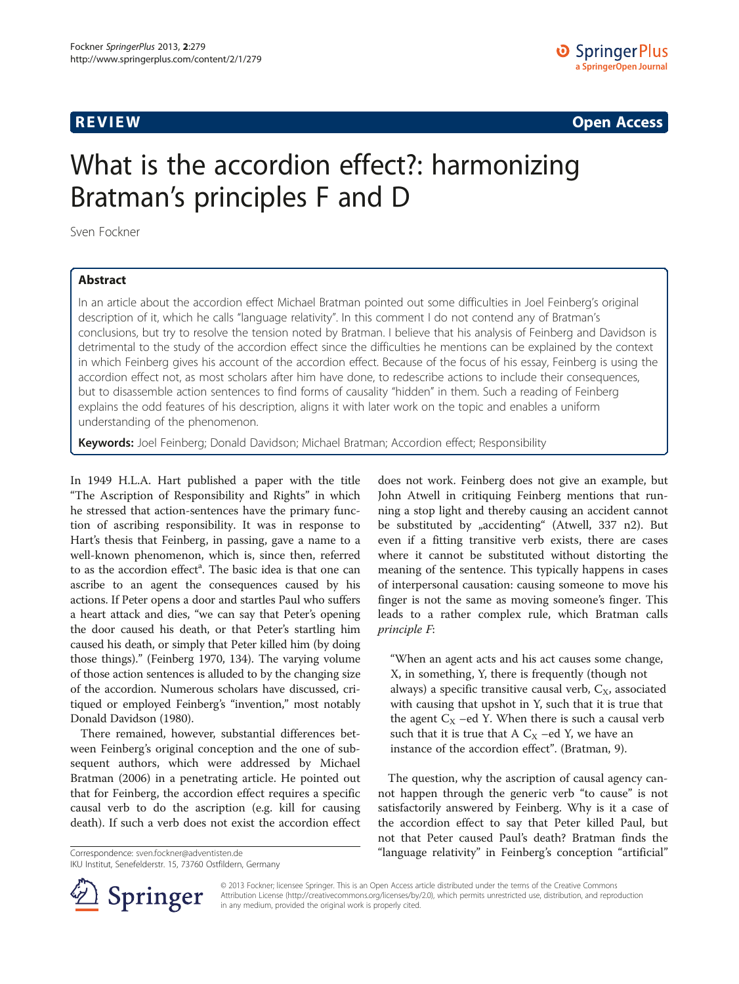**REVIEW CONSTRUCTION CONSTRUCTION CONSTRUCTS** 

# What is the accordion effect?: harmonizing Bratman's principles F and D

Sven Fockner

# Abstract

In an article about the accordion effect Michael Bratman pointed out some difficulties in Joel Feinberg's original description of it, which he calls "language relativity". In this comment I do not contend any of Bratman's conclusions, but try to resolve the tension noted by Bratman. I believe that his analysis of Feinberg and Davidson is detrimental to the study of the accordion effect since the difficulties he mentions can be explained by the context in which Feinberg gives his account of the accordion effect. Because of the focus of his essay, Feinberg is using the accordion effect not, as most scholars after him have done, to redescribe actions to include their consequences, but to disassemble action sentences to find forms of causality "hidden" in them. Such a reading of Feinberg explains the odd features of his description, aligns it with later work on the topic and enables a uniform understanding of the phenomenon.

Keywords: Joel Feinberg; Donald Davidson; Michael Bratman; Accordion effect; Responsibility

In 1949 H.L.A. Hart published a paper with the title "The Ascription of Responsibility and Rights" in which he stressed that action-sentences have the primary function of ascribing responsibility. It was in response to Hart's thesis that Feinberg, in passing, gave a name to a well-known phenomenon, which is, since then, referred to as the accordion effect<sup>a</sup>. The basic idea is that one can ascribe to an agent the consequences caused by his actions. If Peter opens a door and startles Paul who suffers a heart attack and dies, "we can say that Peter's opening the door caused his death, or that Peter's startling him caused his death, or simply that Peter killed him (by doing those things)." (Feinberg [1970](#page-2-0), 134). The varying volume of those action sentences is alluded to by the changing size of the accordion. Numerous scholars have discussed, critiqued or employed Feinberg's "invention," most notably Donald Davidson ([1980\)](#page-2-0).

There remained, however, substantial differences between Feinberg's original conception and the one of subsequent authors, which were addressed by Michael Bratman ([2006](#page-2-0)) in a penetrating article. He pointed out that for Feinberg, the accordion effect requires a specific causal verb to do the ascription (e.g. kill for causing death). If such a verb does not exist the accordion effect

IKU Institut, Senefelderstr. 15, 73760 Ostfildern, Germany

does not work. Feinberg does not give an example, but John Atwell in critiquing Feinberg mentions that running a stop light and thereby causing an accident cannot be substituted by "accidenting" (Atwell, 337 n2). But even if a fitting transitive verb exists, there are cases where it cannot be substituted without distorting the meaning of the sentence. This typically happens in cases of interpersonal causation: causing someone to move his finger is not the same as moving someone's finger. This leads to a rather complex rule, which Bratman calls principle F:

"When an agent acts and his act causes some change, X, in something, Y, there is frequently (though not always) a specific transitive causal verb,  $C_X$ , associated with causing that upshot in Y, such that it is true that the agent  $C_X$  –ed Y. When there is such a causal verb such that it is true that A  $C_X$  –ed Y, we have an instance of the accordion effect". (Bratman, 9).

The question, why the ascription of causal agency cannot happen through the generic verb "to cause" is not satisfactorily answered by Feinberg. Why is it a case of the accordion effect to say that Peter killed Paul, but not that Peter caused Paul's death? Bratman finds the Correspondence: [sven.fockner@adventisten.de](mailto:sven.fockner@adventisten.de) "language relativity" in Feinberg's conception "artificial"



© 2013 Fockner; licensee Springer. This is an Open Access article distributed under the terms of the Creative Commons Attribution License [\(http://creativecommons.org/licenses/by/2.0\)](http://creativecommons.org/licenses/by/2.0), which permits unrestricted use, distribution, and reproduction in any medium, provided the original work is properly cited.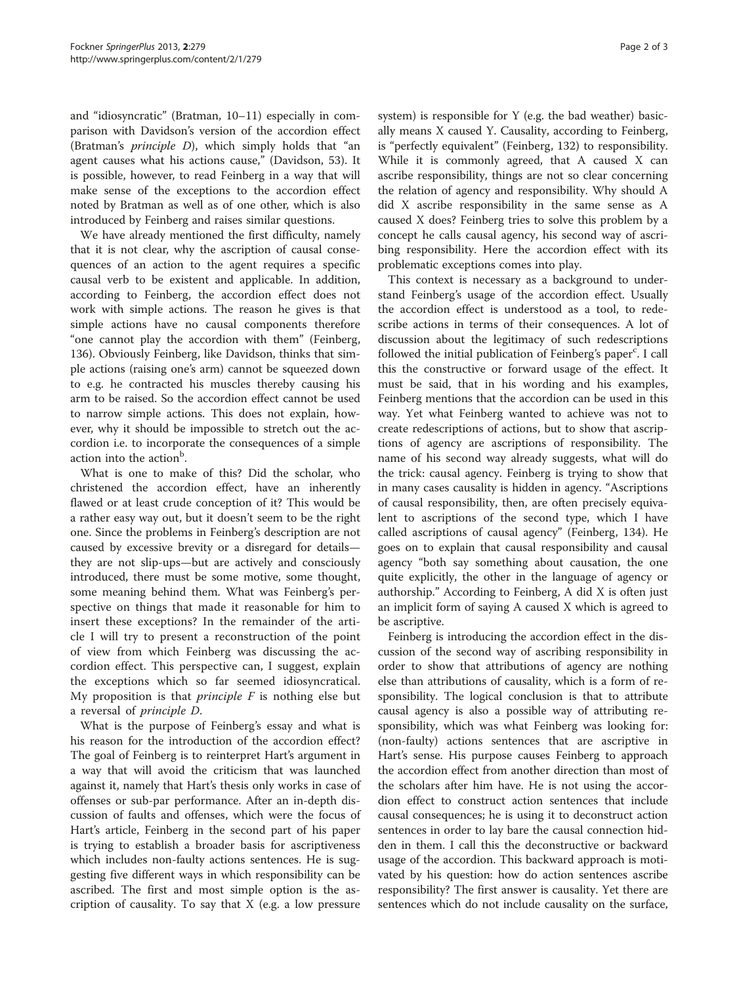and "idiosyncratic" (Bratman, 10–11) especially in comparison with Davidson's version of the accordion effect (Bratman's principle D), which simply holds that "an agent causes what his actions cause," (Davidson, 53). It is possible, however, to read Feinberg in a way that will make sense of the exceptions to the accordion effect noted by Bratman as well as of one other, which is also introduced by Feinberg and raises similar questions.

We have already mentioned the first difficulty, namely that it is not clear, why the ascription of causal consequences of an action to the agent requires a specific causal verb to be existent and applicable. In addition, according to Feinberg, the accordion effect does not work with simple actions. The reason he gives is that simple actions have no causal components therefore "one cannot play the accordion with them" (Feinberg, 136). Obviously Feinberg, like Davidson, thinks that simple actions (raising one's arm) cannot be squeezed down to e.g. he contracted his muscles thereby causing his arm to be raised. So the accordion effect cannot be used to narrow simple actions. This does not explain, however, why it should be impossible to stretch out the accordion i.e. to incorporate the consequences of a simple action into the action<sup>b</sup>.

What is one to make of this? Did the scholar, who christened the accordion effect, have an inherently flawed or at least crude conception of it? This would be a rather easy way out, but it doesn't seem to be the right one. Since the problems in Feinberg's description are not caused by excessive brevity or a disregard for details they are not slip-ups—but are actively and consciously introduced, there must be some motive, some thought, some meaning behind them. What was Feinberg's perspective on things that made it reasonable for him to insert these exceptions? In the remainder of the article I will try to present a reconstruction of the point of view from which Feinberg was discussing the accordion effect. This perspective can, I suggest, explain the exceptions which so far seemed idiosyncratical. My proposition is that *principle*  $F$  is nothing else but a reversal of principle D.

What is the purpose of Feinberg's essay and what is his reason for the introduction of the accordion effect? The goal of Feinberg is to reinterpret Hart's argument in a way that will avoid the criticism that was launched against it, namely that Hart's thesis only works in case of offenses or sub-par performance. After an in-depth discussion of faults and offenses, which were the focus of Hart's article, Feinberg in the second part of his paper is trying to establish a broader basis for ascriptiveness which includes non-faulty actions sentences. He is suggesting five different ways in which responsibility can be ascribed. The first and most simple option is the ascription of causality. To say that X (e.g. a low pressure

system) is responsible for Y (e.g. the bad weather) basically means X caused Y. Causality, according to Feinberg, is "perfectly equivalent" (Feinberg, 132) to responsibility. While it is commonly agreed, that A caused X can ascribe responsibility, things are not so clear concerning the relation of agency and responsibility. Why should A did X ascribe responsibility in the same sense as A caused X does? Feinberg tries to solve this problem by a concept he calls causal agency, his second way of ascribing responsibility. Here the accordion effect with its problematic exceptions comes into play.

This context is necessary as a background to understand Feinberg's usage of the accordion effect. Usually the accordion effect is understood as a tool, to redescribe actions in terms of their consequences. A lot of discussion about the legitimacy of such redescriptions followed the initial publication of Feinberg's paper<sup>c</sup>. I call this the constructive or forward usage of the effect. It must be said, that in his wording and his examples, Feinberg mentions that the accordion can be used in this way. Yet what Feinberg wanted to achieve was not to create redescriptions of actions, but to show that ascriptions of agency are ascriptions of responsibility. The name of his second way already suggests, what will do the trick: causal agency. Feinberg is trying to show that in many cases causality is hidden in agency. "Ascriptions of causal responsibility, then, are often precisely equivalent to ascriptions of the second type, which I have called ascriptions of causal agency" (Feinberg, 134). He goes on to explain that causal responsibility and causal agency "both say something about causation, the one quite explicitly, the other in the language of agency or authorship." According to Feinberg, A did X is often just an implicit form of saying A caused X which is agreed to be ascriptive.

Feinberg is introducing the accordion effect in the discussion of the second way of ascribing responsibility in order to show that attributions of agency are nothing else than attributions of causality, which is a form of responsibility. The logical conclusion is that to attribute causal agency is also a possible way of attributing responsibility, which was what Feinberg was looking for: (non-faulty) actions sentences that are ascriptive in Hart's sense. His purpose causes Feinberg to approach the accordion effect from another direction than most of the scholars after him have. He is not using the accordion effect to construct action sentences that include causal consequences; he is using it to deconstruct action sentences in order to lay bare the causal connection hidden in them. I call this the deconstructive or backward usage of the accordion. This backward approach is motivated by his question: how do action sentences ascribe responsibility? The first answer is causality. Yet there are sentences which do not include causality on the surface,